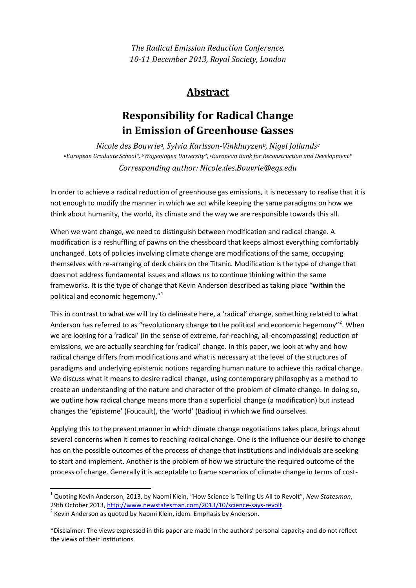*The Radical Emission Reduction Conference, 10-11 December 2013, Royal Society, London*

## **Abstract**

## **Responsibility for Radical Change in Emission of Greenhouse Gasses**

*Nicole des Bouvriea, Sylvia Karlsson-Vinkhuyzenb, Nigel Jollandsc aEuropean Graduate School\*, bWageningen University\*, cEuropean Bank for Reconstruction and Development\* Corresponding author: Nicole.des.Bouvrie@egs.edu* 

In order to achieve a radical reduction of greenhouse gas emissions, it is necessary to realise that it is not enough to modify the manner in which we act while keeping the same paradigms on how we think about humanity, the world, its climate and the way we are responsible towards this all.

When we want change, we need to distinguish between modification and radical change. A modification is a reshuffling of pawns on the chessboard that keeps almost everything comfortably unchanged. Lots of policies involving climate change are modifications of the same, occupying themselves with re-arranging of deck chairs on the Titanic. Modification is the type of change that does not address fundamental issues and allows us to continue thinking within the same frameworks. It is the type of change that Kevin Anderson described as taking place "**within** the political and economic hegemony."[1](#page-0-0)

This in contrast to what we will try to delineate here, a 'radical' change, something related to what Anderson has referred to as "revolutionary change to the political and economic hegemony"<sup>[2](#page-0-1)</sup>. When we are looking for a 'radical' (in the sense of extreme, far-reaching, all-encompassing) reduction of emissions, we are actually searching for 'radical' change. In this paper, we look at why and how radical change differs from modifications and what is necessary at the level of the structures of paradigms and underlying epistemic notions regarding human nature to achieve this radical change. We discuss what it means to desire radical change, using contemporary philosophy as a method to create an understanding of the nature and character of the problem of climate change. In doing so, we outline how radical change means more than a superficial change (a modification) but instead changes the 'episteme' (Foucault), the 'world' (Badiou) in which we find ourselves.

Applying this to the present manner in which climate change negotiations takes place, brings about several concerns when it comes to reaching radical change. One is the influence our desire to change has on the possible outcomes of the process of change that institutions and individuals are seeking to start and implement. Another is the problem of how we structure the required outcome of the process of change. Generally it is acceptable to frame scenarios of climate change in terms of cost-

<span id="page-0-0"></span><sup>&</sup>lt;sup>1</sup> Quoting Kevin Anderson, 2013, by Naomi Klein, "How Science is Telling Us All to Revolt", *New Statesman*, 29th October 2013, http://www.newstatesman.com/2013/10/science-says-revolt.  $2$  Kevin Anderson as quoted by Naomi Klein, idem. Emphasis by Anderson.

<span id="page-0-1"></span><sup>\*</sup>Disclaimer: The views expressed in this paper are made in the authors' personal capacity and do not reflect the views of their institutions.